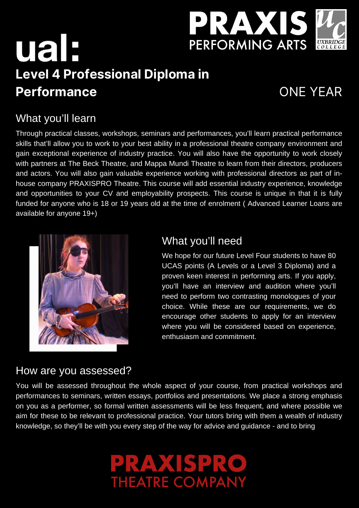# PRAYISP PERFORMING ARTS

## ual **Level 4 Professional Diploma in** Performance ONE YEAR

 $\overline{\text{UXBRIDE}}_{\text{COLLEGE}}$ 

### What you'll learn

Through practical classes, workshops, seminars and performances, you'll learn practical performance skills that'll allow you to work to your best ability in a professional theatre company environment and gain exceptional experience of industry practice. You will also have the opportunity to work closely with partners at The Beck Theatre, and Mappa Mundi Theatre to learn from their directors, producers and actors. You will also gain valuable experience working with professional directors as part of inhouse company PRAXISPRO Theatre. This course will add essential industry experience, knowledge and opportunities to your CV and employability prospects. This course is unique in that it is fully funded for anyone who is 18 or 19 years old at the time of enrolment ( Advanced Learner Loans are available for anyone 19+)



We hope for our future Level Four students to have 80 UCAS points (A Levels or a Level 3 Diploma) and a

#### How are you assessed?

You will be assessed throughout the whole aspect of your course, from practical workshops and performances to seminars, written essays, portfolios and presentations. We place a strong emphasis on you as a performer, so formal written assessments will be less frequent, and where possible we aim for these to be relevant to professional practice. Your tutors bring with them a wealth of industry knowledge, so they'll be with you every step of the way for advice and guidance - and to bring

### PRAXISPRO THEATRE COMPANY

#### What you'll need

proven keen interest in performing arts. If you apply, you'll have an interview and audition where you'll need to perform two contrasting monologues of your choice. While these are our requirements, we do encourage other students to apply for an interview where you will be considered based on experience, enthusiasm and commitment.